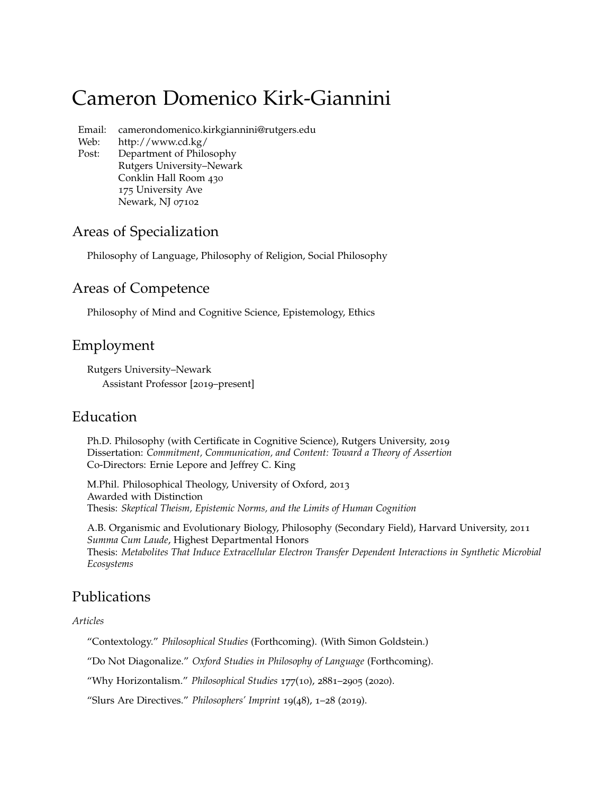# Cameron Domenico Kirk-Giannini

Email: camerondomenico.kirkgiannini@rutgers.edu

Web: http://www.cd.kg/

Post: Department of Philosophy Rutgers University–Newark Conklin Hall Room 430 175 University Ave Newark, NJ 07102

# Areas of Specialization

Philosophy of Language, Philosophy of Religion, Social Philosophy

# Areas of Competence

Philosophy of Mind and Cognitive Science, Epistemology, Ethics

# Employment

Rutgers University–Newark Assistant Professor [2019–present]

# Education

Ph.D. Philosophy (with Certificate in Cognitive Science), Rutgers University, 2019 Dissertation: *Commitment, Communication, and Content: Toward a Theory of Assertion* Co-Directors: Ernie Lepore and Jeffrey C. King

M.Phil. Philosophical Theology, University of Oxford, 2013 Awarded with Distinction Thesis: *Skeptical Theism, Epistemic Norms, and the Limits of Human Cognition*

A.B. Organismic and Evolutionary Biology, Philosophy (Secondary Field), Harvard University, 2011 *Summa Cum Laude*, Highest Departmental Honors Thesis: *Metabolites That Induce Extracellular Electron Transfer Dependent Interactions in Synthetic Microbial Ecosystems*

# Publications

#### *Articles*

"Contextology." *Philosophical Studies* (Forthcoming). (With Simon Goldstein.)

"Do Not Diagonalize." *Oxford Studies in Philosophy of Language* (Forthcoming).

"Why Horizontalism." *Philosophical Studies* 177(10), 2881–2905 (2020).

"Slurs Are Directives." *Philosophers' Imprint* 19(48), 1–28 (2019).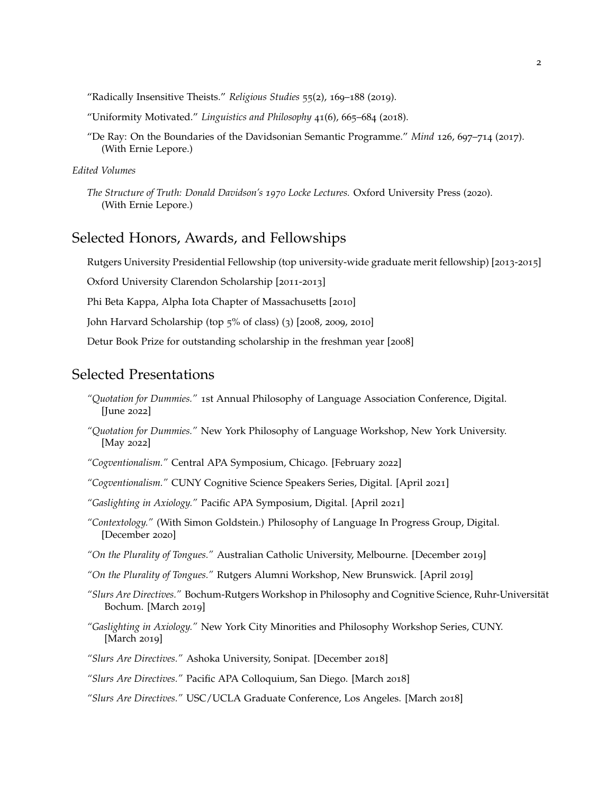"Radically Insensitive Theists." *Religious Studies* 55(2), 169–188 (2019).

"Uniformity Motivated." *Linguistics and Philosophy* 41(6), 665–684 (2018).

"De Ray: On the Boundaries of the Davidsonian Semantic Programme." *Mind* 126, 697–714 (2017). (With Ernie Lepore.)

#### *Edited Volumes*

### Selected Honors, Awards, and Fellowships

Rutgers University Presidential Fellowship (top university-wide graduate merit fellowship) [2013-2015]

Oxford University Clarendon Scholarship [2011-2013]

Phi Beta Kappa, Alpha Iota Chapter of Massachusetts [2010]

John Harvard Scholarship (top 5% of class) (3) [2008, 2009, 2010]

Detur Book Prize for outstanding scholarship in the freshman year [2008]

### Selected Presentations

- *"Quotation for Dummies."* 1st Annual Philosophy of Language Association Conference, Digital. [June 2022]
- *"Quotation for Dummies."* New York Philosophy of Language Workshop, New York University. [May 2022]

*"Cogventionalism."* Central APA Symposium, Chicago. [February 2022]

*"Cogventionalism."* CUNY Cognitive Science Speakers Series, Digital. [April 2021]

*"Gaslighting in Axiology."* Pacific APA Symposium, Digital. [April 2021]

*"Contextology."* (With Simon Goldstein.) Philosophy of Language In Progress Group, Digital. [December 2020]

*"On the Plurality of Tongues."* Australian Catholic University, Melbourne. [December 2019]

*"On the Plurality of Tongues."* Rutgers Alumni Workshop, New Brunswick. [April 2019]

- *"Slurs Are Directives."* Bochum-Rutgers Workshop in Philosophy and Cognitive Science, Ruhr-Universität Bochum. [March 2019]
- *"Gaslighting in Axiology."* New York City Minorities and Philosophy Workshop Series, CUNY. [March 2019]

*"Slurs Are Directives."* Ashoka University, Sonipat. [December 2018]

*"Slurs Are Directives."* Pacific APA Colloquium, San Diego. [March 2018]

*"Slurs Are Directives."* USC/UCLA Graduate Conference, Los Angeles. [March 2018]

*The Structure of Truth: Donald Davidson's 1970 Locke Lectures.* Oxford University Press (2020). (With Ernie Lepore.)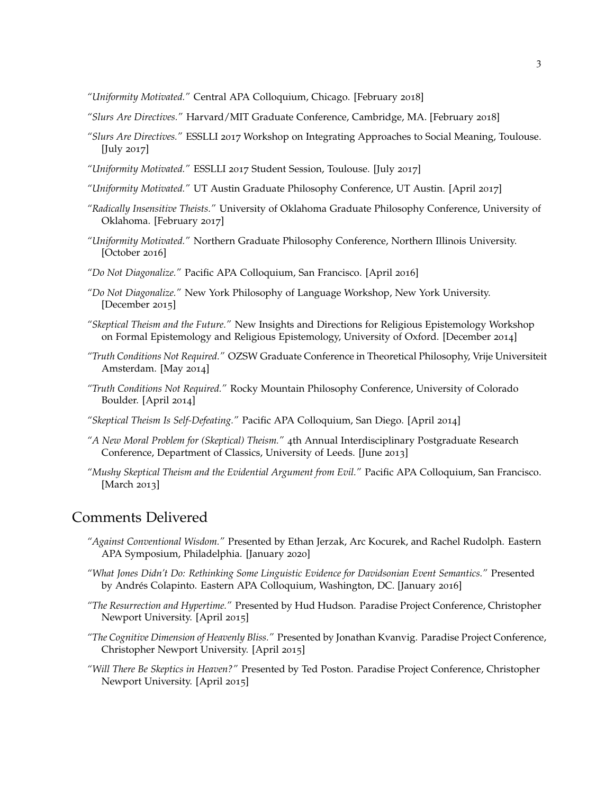*"Uniformity Motivated."* Central APA Colloquium, Chicago. [February 2018]

- *"Slurs Are Directives."* Harvard/MIT Graduate Conference, Cambridge, MA. [February 2018]
- *"Slurs Are Directives."* ESSLLI 2017 Workshop on Integrating Approaches to Social Meaning, Toulouse. [July 2017]
- *"Uniformity Motivated."* ESSLLI 2017 Student Session, Toulouse. [July 2017]
- *"Uniformity Motivated."* UT Austin Graduate Philosophy Conference, UT Austin. [April 2017]
- *"Radically Insensitive Theists."* University of Oklahoma Graduate Philosophy Conference, University of Oklahoma. [February 2017]
- *"Uniformity Motivated."* Northern Graduate Philosophy Conference, Northern Illinois University. [October 2016]
- *"Do Not Diagonalize."* Pacific APA Colloquium, San Francisco. [April 2016]
- *"Do Not Diagonalize."* New York Philosophy of Language Workshop, New York University. [December 2015]
- *"Skeptical Theism and the Future."* New Insights and Directions for Religious Epistemology Workshop on Formal Epistemology and Religious Epistemology, University of Oxford. [December 2014]
- *"Truth Conditions Not Required."* OZSW Graduate Conference in Theoretical Philosophy, Vrije Universiteit Amsterdam. [May 2014]
- *"Truth Conditions Not Required."* Rocky Mountain Philosophy Conference, University of Colorado Boulder. [April 2014]
- *"Skeptical Theism Is Self-Defeating."* Pacific APA Colloquium, San Diego. [April 2014]
- *"A New Moral Problem for (Skeptical) Theism."* 4th Annual Interdisciplinary Postgraduate Research Conference, Department of Classics, University of Leeds. [June 2013]
- *"Mushy Skeptical Theism and the Evidential Argument from Evil."* Pacific APA Colloquium, San Francisco. [March 2013]

### Comments Delivered

- *"Against Conventional Wisdom."* Presented by Ethan Jerzak, Arc Kocurek, and Rachel Rudolph. Eastern APA Symposium, Philadelphia. [January 2020]
- *"What Jones Didn't Do: Rethinking Some Linguistic Evidence for Davidsonian Event Semantics."* Presented by Andrés Colapinto. Eastern APA Colloquium, Washington, DC. [January 2016]
- *"The Resurrection and Hypertime."* Presented by Hud Hudson. Paradise Project Conference, Christopher Newport University. [April 2015]
- *"The Cognitive Dimension of Heavenly Bliss."* Presented by Jonathan Kvanvig. Paradise Project Conference, Christopher Newport University. [April 2015]
- *"Will There Be Skeptics in Heaven?"* Presented by Ted Poston. Paradise Project Conference, Christopher Newport University. [April 2015]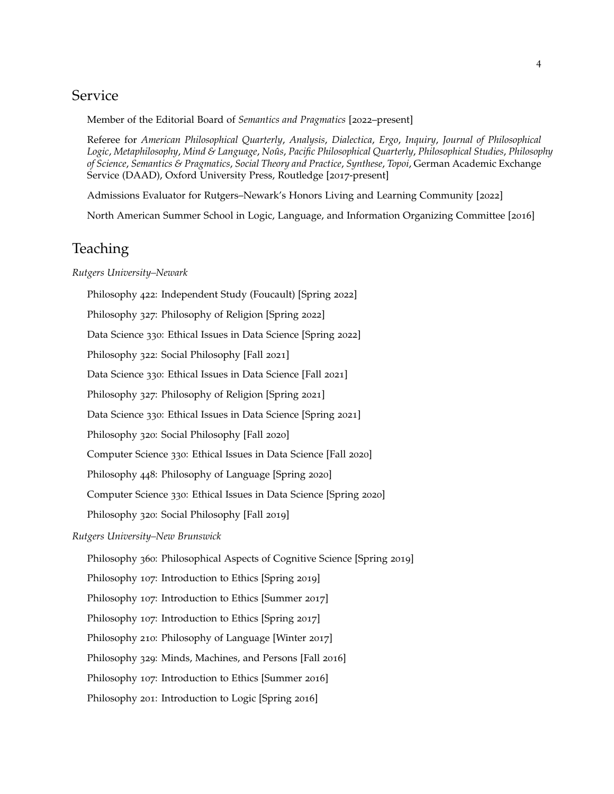## Service

Member of the Editorial Board of *Semantics and Pragmatics* [2022–present]

Referee for *American Philosophical Quarterly*, *Analysis*, *Dialectica*, *Ergo*, *Inquiry*, *Journal of Philosophical Logic*, *Metaphilosophy*, *Mind & Language*, *Noûs*, *Pacific Philosophical Quarterly*, *Philosophical Studies*, *Philosophy of Science*, *Semantics & Pragmatics*, *Social Theory and Practice*, *Synthese*, *Topoi*, German Academic Exchange Service (DAAD), Oxford University Press, Routledge [2017-present]

Admissions Evaluator for Rutgers–Newark's Honors Living and Learning Community [2022]

North American Summer School in Logic, Language, and Information Organizing Committee [2016]

### Teaching

#### *Rutgers University–Newark*

Philosophy 422: Independent Study (Foucault) [Spring 2022] Philosophy 327: Philosophy of Religion [Spring 2022] Data Science 330: Ethical Issues in Data Science [Spring 2022] Philosophy 322: Social Philosophy [Fall 2021] Data Science 330: Ethical Issues in Data Science [Fall 2021] Philosophy 327: Philosophy of Religion [Spring 2021] Data Science 330: Ethical Issues in Data Science [Spring 2021] Philosophy 320: Social Philosophy [Fall 2020] Computer Science 330: Ethical Issues in Data Science [Fall 2020] Philosophy 448: Philosophy of Language [Spring 2020] Computer Science 330: Ethical Issues in Data Science [Spring 2020] Philosophy 320: Social Philosophy [Fall 2019] *Rutgers University–New Brunswick* Philosophy 360: Philosophical Aspects of Cognitive Science [Spring 2019] Philosophy 107: Introduction to Ethics [Spring 2019] Philosophy 107: Introduction to Ethics [Summer 2017] Philosophy 107: Introduction to Ethics [Spring 2017] Philosophy 210: Philosophy of Language [Winter 2017]

Philosophy 329: Minds, Machines, and Persons [Fall 2016]

Philosophy 107: Introduction to Ethics [Summer 2016]

Philosophy 201: Introduction to Logic [Spring 2016]